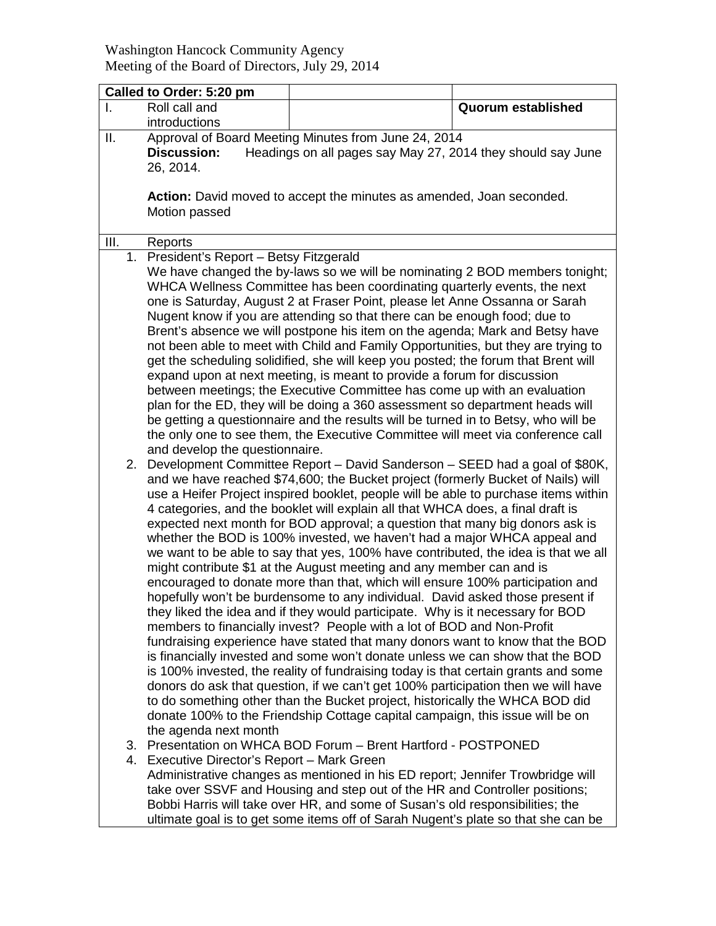| Called to Order: 5:20 pm |                                                                                                                                                                                                                                                                                                                                                                                                                                                                                                                                                                                                                                                                                                                                                                                                                                                                                                                                                                                                                                                                               |                                                                                                                                                                                                                                                                                                                                                                                                                                                                                                                                                                                                                                                                                                                                                                                                                                                                                                                                                                                                                                                                                                                                                                                                                                                                                                                                                                                                                                                                                                                |                    |  |  |
|--------------------------|-------------------------------------------------------------------------------------------------------------------------------------------------------------------------------------------------------------------------------------------------------------------------------------------------------------------------------------------------------------------------------------------------------------------------------------------------------------------------------------------------------------------------------------------------------------------------------------------------------------------------------------------------------------------------------------------------------------------------------------------------------------------------------------------------------------------------------------------------------------------------------------------------------------------------------------------------------------------------------------------------------------------------------------------------------------------------------|----------------------------------------------------------------------------------------------------------------------------------------------------------------------------------------------------------------------------------------------------------------------------------------------------------------------------------------------------------------------------------------------------------------------------------------------------------------------------------------------------------------------------------------------------------------------------------------------------------------------------------------------------------------------------------------------------------------------------------------------------------------------------------------------------------------------------------------------------------------------------------------------------------------------------------------------------------------------------------------------------------------------------------------------------------------------------------------------------------------------------------------------------------------------------------------------------------------------------------------------------------------------------------------------------------------------------------------------------------------------------------------------------------------------------------------------------------------------------------------------------------------|--------------------|--|--|
|                          | Roll call and<br>introductions                                                                                                                                                                                                                                                                                                                                                                                                                                                                                                                                                                                                                                                                                                                                                                                                                                                                                                                                                                                                                                                |                                                                                                                                                                                                                                                                                                                                                                                                                                                                                                                                                                                                                                                                                                                                                                                                                                                                                                                                                                                                                                                                                                                                                                                                                                                                                                                                                                                                                                                                                                                | Quorum established |  |  |
| ΙΙ.                      | Approval of Board Meeting Minutes from June 24, 2014<br>Headings on all pages say May 27, 2014 they should say June<br><b>Discussion:</b>                                                                                                                                                                                                                                                                                                                                                                                                                                                                                                                                                                                                                                                                                                                                                                                                                                                                                                                                     |                                                                                                                                                                                                                                                                                                                                                                                                                                                                                                                                                                                                                                                                                                                                                                                                                                                                                                                                                                                                                                                                                                                                                                                                                                                                                                                                                                                                                                                                                                                |                    |  |  |
|                          | 26, 2014.                                                                                                                                                                                                                                                                                                                                                                                                                                                                                                                                                                                                                                                                                                                                                                                                                                                                                                                                                                                                                                                                     |                                                                                                                                                                                                                                                                                                                                                                                                                                                                                                                                                                                                                                                                                                                                                                                                                                                                                                                                                                                                                                                                                                                                                                                                                                                                                                                                                                                                                                                                                                                |                    |  |  |
|                          | Action: David moved to accept the minutes as amended, Joan seconded.<br>Motion passed                                                                                                                                                                                                                                                                                                                                                                                                                                                                                                                                                                                                                                                                                                                                                                                                                                                                                                                                                                                         |                                                                                                                                                                                                                                                                                                                                                                                                                                                                                                                                                                                                                                                                                                                                                                                                                                                                                                                                                                                                                                                                                                                                                                                                                                                                                                                                                                                                                                                                                                                |                    |  |  |
|                          |                                                                                                                                                                                                                                                                                                                                                                                                                                                                                                                                                                                                                                                                                                                                                                                                                                                                                                                                                                                                                                                                               |                                                                                                                                                                                                                                                                                                                                                                                                                                                                                                                                                                                                                                                                                                                                                                                                                                                                                                                                                                                                                                                                                                                                                                                                                                                                                                                                                                                                                                                                                                                |                    |  |  |
| III.                     | Reports                                                                                                                                                                                                                                                                                                                                                                                                                                                                                                                                                                                                                                                                                                                                                                                                                                                                                                                                                                                                                                                                       |                                                                                                                                                                                                                                                                                                                                                                                                                                                                                                                                                                                                                                                                                                                                                                                                                                                                                                                                                                                                                                                                                                                                                                                                                                                                                                                                                                                                                                                                                                                |                    |  |  |
|                          | 1. President's Report - Betsy Fitzgerald<br>We have changed the by-laws so we will be nominating 2 BOD members tonight;<br>WHCA Wellness Committee has been coordinating quarterly events, the next<br>one is Saturday, August 2 at Fraser Point, please let Anne Ossanna or Sarah<br>Nugent know if you are attending so that there can be enough food; due to<br>Brent's absence we will postpone his item on the agenda; Mark and Betsy have<br>not been able to meet with Child and Family Opportunities, but they are trying to<br>get the scheduling solidified, she will keep you posted; the forum that Brent will<br>expand upon at next meeting, is meant to provide a forum for discussion<br>between meetings; the Executive Committee has come up with an evaluation<br>plan for the ED, they will be doing a 360 assessment so department heads will<br>be getting a questionnaire and the results will be turned in to Betsy, who will be<br>the only one to see them, the Executive Committee will meet via conference call<br>and develop the questionnaire. |                                                                                                                                                                                                                                                                                                                                                                                                                                                                                                                                                                                                                                                                                                                                                                                                                                                                                                                                                                                                                                                                                                                                                                                                                                                                                                                                                                                                                                                                                                                |                    |  |  |
| 2.                       | the agenda next month                                                                                                                                                                                                                                                                                                                                                                                                                                                                                                                                                                                                                                                                                                                                                                                                                                                                                                                                                                                                                                                         | Development Committee Report - David Sanderson - SEED had a goal of \$80K,<br>and we have reached \$74,600; the Bucket project (formerly Bucket of Nails) will<br>use a Heifer Project inspired booklet, people will be able to purchase items within<br>4 categories, and the booklet will explain all that WHCA does, a final draft is<br>expected next month for BOD approval; a question that many big donors ask is<br>whether the BOD is 100% invested, we haven't had a major WHCA appeal and<br>we want to be able to say that yes, 100% have contributed, the idea is that we all<br>might contribute \$1 at the August meeting and any member can and is<br>encouraged to donate more than that, which will ensure 100% participation and<br>hopefully won't be burdensome to any individual. David asked those present if<br>they liked the idea and if they would participate. Why is it necessary for BOD<br>members to financially invest? People with a lot of BOD and Non-Profit<br>fundraising experience have stated that many donors want to know that the BOD<br>is financially invested and some won't donate unless we can show that the BOD<br>is 100% invested, the reality of fundraising today is that certain grants and some<br>donors do ask that question, if we can't get 100% participation then we will have<br>to do something other than the Bucket project, historically the WHCA BOD did<br>donate 100% to the Friendship Cottage capital campaign, this issue will be on |                    |  |  |
| 3.                       | Presentation on WHCA BOD Forum - Brent Hartford - POSTPONED<br>4. Executive Director's Report - Mark Green<br>Administrative changes as mentioned in his ED report; Jennifer Trowbridge will                                                                                                                                                                                                                                                                                                                                                                                                                                                                                                                                                                                                                                                                                                                                                                                                                                                                                  |                                                                                                                                                                                                                                                                                                                                                                                                                                                                                                                                                                                                                                                                                                                                                                                                                                                                                                                                                                                                                                                                                                                                                                                                                                                                                                                                                                                                                                                                                                                |                    |  |  |

take over SSVF and Housing and step out of the HR and Controller positions; Bobbi Harris will take over HR, and some of Susan's old responsibilities; the ultimate goal is to get some items off of Sarah Nugent's plate so that she can be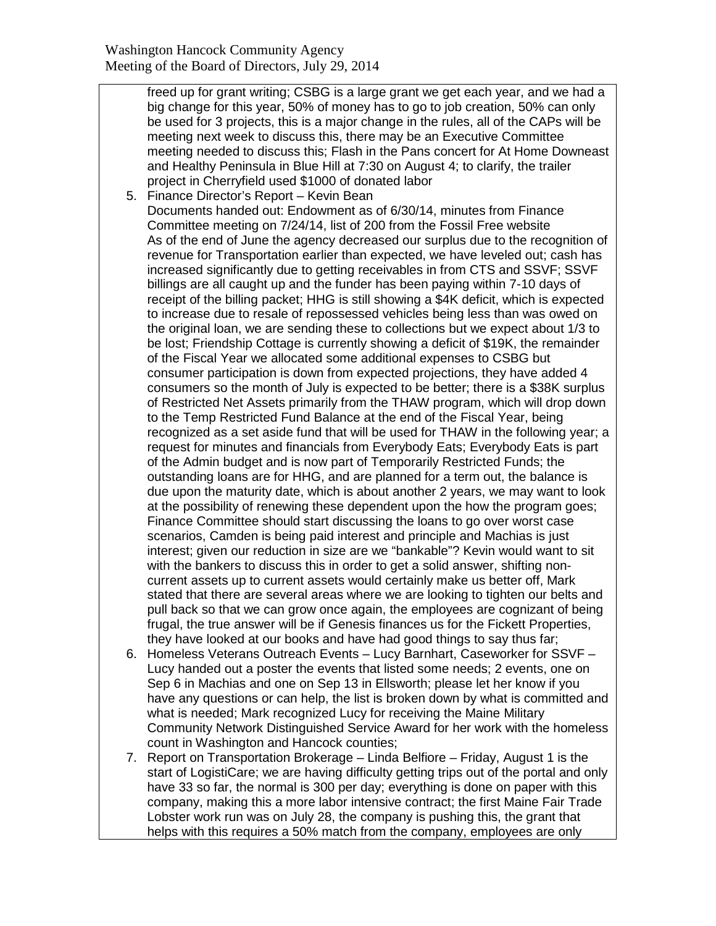freed up for grant writing; CSBG is a large grant we get each year, and we had a big change for this year, 50% of money has to go to job creation, 50% can only be used for 3 projects, this is a major change in the rules, all of the CAPs will be meeting next week to discuss this, there may be an Executive Committee meeting needed to discuss this; Flash in the Pans concert for At Home Downeast and Healthy Peninsula in Blue Hill at 7:30 on August 4; to clarify, the trailer project in Cherryfield used \$1000 of donated labor

- 5. Finance Director's Report Kevin Bean Documents handed out: Endowment as of 6/30/14, minutes from Finance Committee meeting on 7/24/14, list of 200 from the Fossil Free website As of the end of June the agency decreased our surplus due to the recognition of revenue for Transportation earlier than expected, we have leveled out; cash has increased significantly due to getting receivables in from CTS and SSVF; SSVF billings are all caught up and the funder has been paying within 7-10 days of receipt of the billing packet; HHG is still showing a \$4K deficit, which is expected to increase due to resale of repossessed vehicles being less than was owed on the original loan, we are sending these to collections but we expect about 1/3 to be lost; Friendship Cottage is currently showing a deficit of \$19K, the remainder of the Fiscal Year we allocated some additional expenses to CSBG but consumer participation is down from expected projections, they have added 4 consumers so the month of July is expected to be better; there is a \$38K surplus of Restricted Net Assets primarily from the THAW program, which will drop down to the Temp Restricted Fund Balance at the end of the Fiscal Year, being recognized as a set aside fund that will be used for THAW in the following year; a request for minutes and financials from Everybody Eats; Everybody Eats is part of the Admin budget and is now part of Temporarily Restricted Funds; the outstanding loans are for HHG, and are planned for a term out, the balance is due upon the maturity date, which is about another 2 years, we may want to look at the possibility of renewing these dependent upon the how the program goes; Finance Committee should start discussing the loans to go over worst case scenarios, Camden is being paid interest and principle and Machias is just interest; given our reduction in size are we "bankable"? Kevin would want to sit with the bankers to discuss this in order to get a solid answer, shifting noncurrent assets up to current assets would certainly make us better off, Mark stated that there are several areas where we are looking to tighten our belts and pull back so that we can grow once again, the employees are cognizant of being frugal, the true answer will be if Genesis finances us for the Fickett Properties, they have looked at our books and have had good things to say thus far;
- 6. Homeless Veterans Outreach Events Lucy Barnhart, Caseworker for SSVF Lucy handed out a poster the events that listed some needs; 2 events, one on Sep 6 in Machias and one on Sep 13 in Ellsworth; please let her know if you have any questions or can help, the list is broken down by what is committed and what is needed; Mark recognized Lucy for receiving the Maine Military Community Network Distinguished Service Award for her work with the homeless count in Washington and Hancock counties;
- 7. Report on Transportation Brokerage Linda Belfiore Friday, August 1 is the start of LogistiCare; we are having difficulty getting trips out of the portal and only have 33 so far, the normal is 300 per day; everything is done on paper with this company, making this a more labor intensive contract; the first Maine Fair Trade Lobster work run was on July 28, the company is pushing this, the grant that helps with this requires a 50% match from the company, employees are only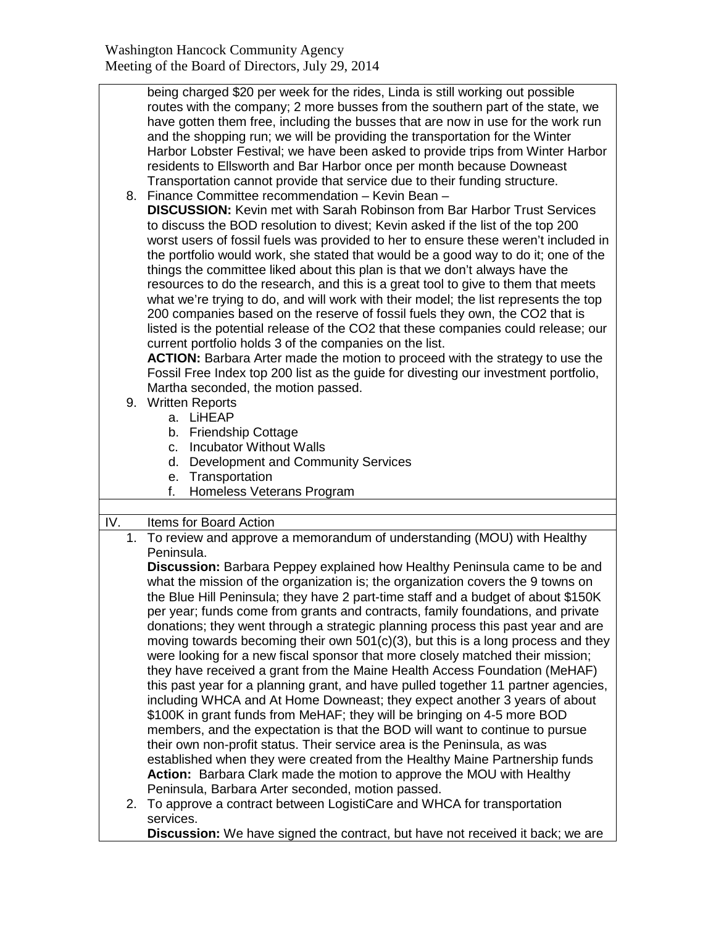| being charged \$20 per week for the rides, Linda is still working out possible   |
|----------------------------------------------------------------------------------|
| routes with the company; 2 more busses from the southern part of the state, we   |
| have gotten them free, including the busses that are now in use for the work run |
| and the shopping run; we will be providing the transportation for the Winter     |
| Harbor Lobster Festival; we have been asked to provide trips from Winter Harbor  |
| residents to Ellsworth and Bar Harbor once per month because Downeast            |
| Transportation cannot provide that service due to their funding structure.       |
| 8. Finance Committee recommendation - Kevin Bean -                               |
| <b>DISCUSSION:</b> Kevin met with Sarah Robinson from Bar Harbor Trust Services  |

**DISCUSSION:** Kevin met with Sarah Robinson from Bar Harbor Trust Services to discuss the BOD resolution to divest; Kevin asked if the list of the top 200 worst users of fossil fuels was provided to her to ensure these weren't included in the portfolio would work, she stated that would be a good way to do it; one of the things the committee liked about this plan is that we don't always have the resources to do the research, and this is a great tool to give to them that meets what we're trying to do, and will work with their model; the list represents the top 200 companies based on the reserve of fossil fuels they own, the CO2 that is listed is the potential release of the CO2 that these companies could release; our current portfolio holds 3 of the companies on the list.

**ACTION:** Barbara Arter made the motion to proceed with the strategy to use the Fossil Free Index top 200 list as the guide for divesting our investment portfolio, Martha seconded, the motion passed.

- 9. Written Reports
	- a. LiHEAP
	- b. Friendship Cottage
	- c. Incubator Without Walls
	- d. Development and Community Services
	- e. Transportation
	- f. Homeless Veterans Program

## IV. Items for Board Action

1. To review and approve a memorandum of understanding (MOU) with Healthy Peninsula.

**Discussion:** Barbara Peppey explained how Healthy Peninsula came to be and what the mission of the organization is; the organization covers the 9 towns on the Blue Hill Peninsula; they have 2 part-time staff and a budget of about \$150K per year; funds come from grants and contracts, family foundations, and private donations; they went through a strategic planning process this past year and are moving towards becoming their own  $501(c)(3)$ , but this is a long process and they were looking for a new fiscal sponsor that more closely matched their mission; they have received a grant from the Maine Health Access Foundation (MeHAF) this past year for a planning grant, and have pulled together 11 partner agencies, including WHCA and At Home Downeast; they expect another 3 years of about \$100K in grant funds from MeHAF; they will be bringing on 4-5 more BOD members, and the expectation is that the BOD will want to continue to pursue their own non-profit status. Their service area is the Peninsula, as was established when they were created from the Healthy Maine Partnership funds **Action:** Barbara Clark made the motion to approve the MOU with Healthy Peninsula, Barbara Arter seconded, motion passed.

2. To approve a contract between LogistiCare and WHCA for transportation services.

**Discussion:** We have signed the contract, but have not received it back; we are